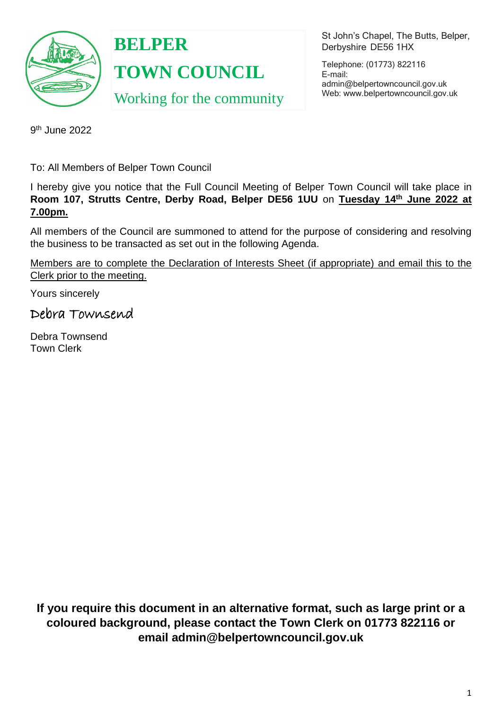

**BELPER TOWN COUNCIL** Working for the community St John's Chapel, The Butts, Belper, Derbyshire DE56 1HX

Telephone: (01773) 822116 E-mail: [admin@belpertowncouncil.gov.uk](mailto:admin@belpertowncouncil.gov.uk) Web: [www.belpertowncouncil.gov.uk](http://www.belpertowncouncil.gov.uk/)

9<sup>th</sup> June 2022

To: All Members of Belper Town Council

I hereby give you notice that the Full Council Meeting of Belper Town Council will take place in **Room 107, Strutts Centre, Derby Road, Belper DE56 1UU** on **Tuesday 14th June 2022 at 7.00pm.**

All members of the Council are summoned to attend for the purpose of considering and resolving the business to be transacted as set out in the following Agenda.

Members are to complete the Declaration of Interests Sheet (if appropriate) and email this to the Clerk prior to the meeting.

Yours sincerely

Debra Townsend

Debra Townsend Town Clerk

**If you require this document in an alternative format, such as large print or a coloured background, please contact the Town Clerk on 01773 822116 or email admin@belpertowncouncil.gov.uk**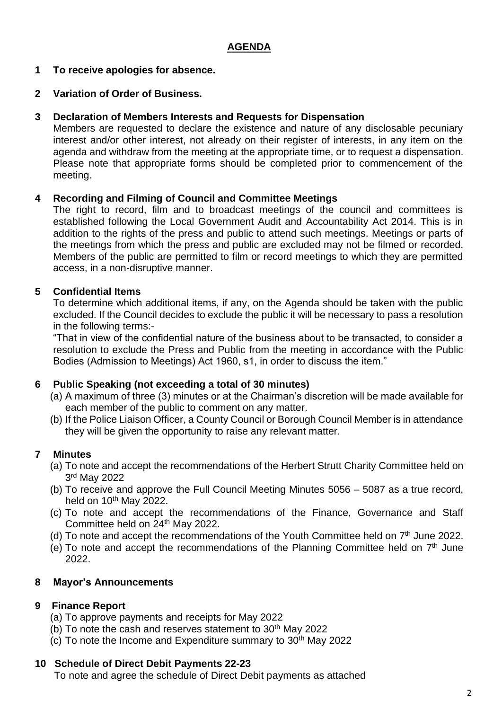## **AGENDA**

## **1 To receive apologies for absence.**

## **2 Variation of Order of Business.**

### **3 Declaration of Members Interests and Requests for Dispensation**

Members are requested to declare the existence and nature of any disclosable pecuniary interest and/or other interest, not already on their register of interests, in any item on the agenda and withdraw from the meeting at the appropriate time, or to request a dispensation. Please note that appropriate forms should be completed prior to commencement of the meeting.

### **4 Recording and Filming of Council and Committee Meetings**

The right to record, film and to broadcast meetings of the council and committees is established following the Local Government Audit and Accountability Act 2014. This is in addition to the rights of the press and public to attend such meetings. Meetings or parts of the meetings from which the press and public are excluded may not be filmed or recorded. Members of the public are permitted to film or record meetings to which they are permitted access, in a non-disruptive manner.

### **5 Confidential Items**

To determine which additional items, if any, on the Agenda should be taken with the public excluded. If the Council decides to exclude the public it will be necessary to pass a resolution in the following terms:-

"That in view of the confidential nature of the business about to be transacted, to consider a resolution to exclude the Press and Public from the meeting in accordance with the Public Bodies (Admission to Meetings) Act 1960, s1, in order to discuss the item."

#### **6 Public Speaking (not exceeding a total of 30 minutes)**

- (a) A maximum of three (3) minutes or at the Chairman's discretion will be made available for each member of the public to comment on any matter.
- (b) If the Police Liaison Officer, a County Council or Borough Council Member is in attendance they will be given the opportunity to raise any relevant matter.

## **7 Minutes**

- (a) To note and accept the recommendations of the Herbert Strutt Charity Committee held on 3 rd May 2022
- (b) To receive and approve the Full Council Meeting Minutes 5056 5087 as a true record, held on  $10^{th}$  May 2022.
- (c) To note and accept the recommendations of the Finance, Governance and Staff Committee held on 24<sup>th</sup> May 2022.
- (d) To note and accept the recommendations of the Youth Committee held on  $7<sup>th</sup>$  June 2022.
- (e) To note and accept the recommendations of the Planning Committee held on  $7<sup>th</sup>$  June 2022.

#### **8 Mayor's Announcements**

## **9 Finance Report**

- (a) To approve payments and receipts for May 2022
- $(b)$  To note the cash and reserves statement to 30<sup>th</sup> May 2022
- (c) To note the Income and Expenditure summary to  $30<sup>th</sup>$  May 2022

#### **10 Schedule of Direct Debit Payments 22-23**

To note and agree the schedule of Direct Debit payments as attached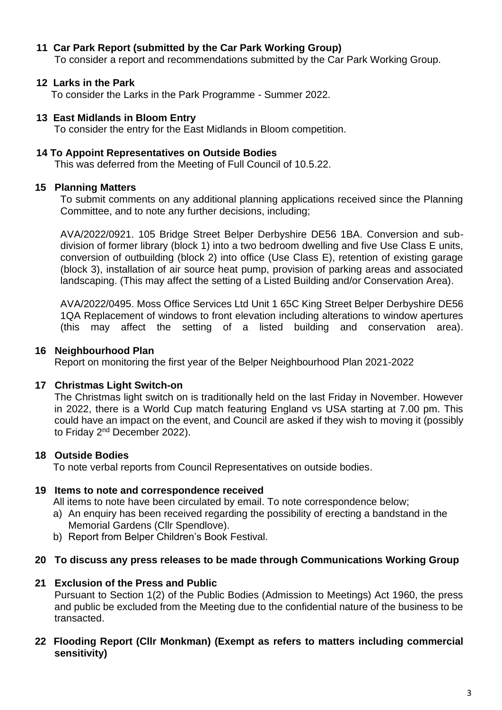## **11 Car Park Report (submitted by the Car Park Working Group)**

To consider a report and recommendations submitted by the Car Park Working Group.

### **12 Larks in the Park**

To consider the Larks in the Park Programme - Summer 2022.

#### **13 East Midlands in Bloom Entry**

To consider the entry for the East Midlands in Bloom competition.

#### **14 To Appoint Representatives on Outside Bodies**

This was deferred from the Meeting of Full Council of 10.5.22.

#### **15 Planning Matters**

To submit comments on any additional planning applications received since the Planning Committee, and to note any further decisions, including;

AVA/2022/0921. 105 Bridge Street Belper Derbyshire DE56 1BA. Conversion and subdivision of former library (block 1) into a two bedroom dwelling and five Use Class E units, conversion of outbuilding (block 2) into office (Use Class E), retention of existing garage (block 3), installation of air source heat pump, provision of parking areas and associated landscaping. (This may affect the setting of a Listed Building and/or Conservation Area).

AVA/2022/0495. Moss Office Services Ltd Unit 1 65C King Street Belper Derbyshire DE56 1QA Replacement of windows to front elevation including alterations to window apertures (this may affect the setting of a listed building and conservation area).

#### **16 Neighbourhood Plan**

Report on monitoring the first year of the Belper Neighbourhood Plan 2021-2022

#### **17 Christmas Light Switch-on**

The Christmas light switch on is traditionally held on the last Friday in November. However in 2022, there is a World Cup match featuring England vs USA starting at 7.00 pm. This could have an impact on the event, and Council are asked if they wish to moving it (possibly to Friday 2<sup>nd</sup> December 2022).

#### **18 Outside Bodies**

To note verbal reports from Council Representatives on outside bodies.

#### **19 Items to note and correspondence received**

All items to note have been circulated by email. To note correspondence below;

- a) An enquiry has been received regarding the possibility of erecting a bandstand in the Memorial Gardens (Cllr Spendlove).
- b) Report from Belper Children's Book Festival.

#### **20 To discuss any press releases to be made through Communications Working Group**

#### **21 Exclusion of the Press and Public**

Pursuant to Section 1(2) of the Public Bodies (Admission to Meetings) Act 1960, the press and public be excluded from the Meeting due to the confidential nature of the business to be transacted.

### **22 Flooding Report (Cllr Monkman) (Exempt as refers to matters including commercial sensitivity)**